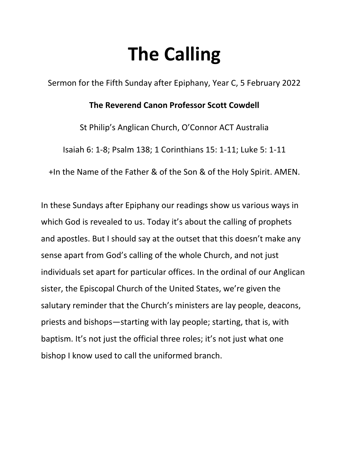## **The Calling**

Sermon for the Fifth Sunday after Epiphany, Year C, 5 February 2022

## **The Reverend Canon Professor Scott Cowdell**

St Philip's Anglican Church, O'Connor ACT Australia

Isaiah 6: 1-8; Psalm 138; 1 Corinthians 15: 1-11; Luke 5: 1-11

+In the Name of the Father & of the Son & of the Holy Spirit. AMEN.

In these Sundays after Epiphany our readings show us various ways in which God is revealed to us. Today it's about the calling of prophets and apostles. But I should say at the outset that this doesn't make any sense apart from God's calling of the whole Church, and not just individuals set apart for particular offices. In the ordinal of our Anglican sister, the Episcopal Church of the United States, we're given the salutary reminder that the Church's ministers are lay people, deacons, priests and bishops—starting with lay people; starting, that is, with baptism. It's not just the official three roles; it's not just what one bishop I know used to call the uniformed branch.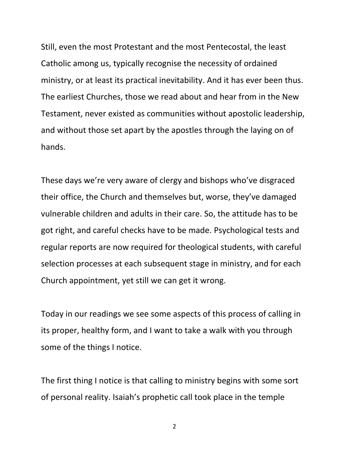Still, even the most Protestant and the most Pentecostal, the least Catholic among us, typically recognise the necessity of ordained ministry, or at least its practical inevitability. And it has ever been thus. The earliest Churches, those we read about and hear from in the New Testament, never existed as communities without apostolic leadership, and without those set apart by the apostles through the laying on of hands.

These days we're very aware of clergy and bishops who've disgraced their office, the Church and themselves but, worse, they've damaged vulnerable children and adults in their care. So, the attitude has to be got right, and careful checks have to be made. Psychological tests and regular reports are now required for theological students, with careful selection processes at each subsequent stage in ministry, and for each Church appointment, yet still we can get it wrong.

Today in our readings we see some aspects of this process of calling in its proper, healthy form, and I want to take a walk with you through some of the things I notice.

The first thing I notice is that calling to ministry begins with some sort of personal reality. Isaiah's prophetic call took place in the temple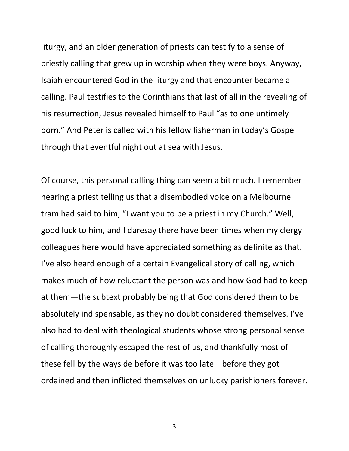liturgy, and an older generation of priests can testify to a sense of priestly calling that grew up in worship when they were boys. Anyway, Isaiah encountered God in the liturgy and that encounter became a calling. Paul testifies to the Corinthians that last of all in the revealing of his resurrection, Jesus revealed himself to Paul "as to one untimely born." And Peter is called with his fellow fisherman in today's Gospel through that eventful night out at sea with Jesus.

Of course, this personal calling thing can seem a bit much. I remember hearing a priest telling us that a disembodied voice on a Melbourne tram had said to him, "I want you to be a priest in my Church." Well, good luck to him, and I daresay there have been times when my clergy colleagues here would have appreciated something as definite as that. I've also heard enough of a certain Evangelical story of calling, which makes much of how reluctant the person was and how God had to keep at them—the subtext probably being that God considered them to be absolutely indispensable, as they no doubt considered themselves. I've also had to deal with theological students whose strong personal sense of calling thoroughly escaped the rest of us, and thankfully most of these fell by the wayside before it was too late—before they got ordained and then inflicted themselves on unlucky parishioners forever.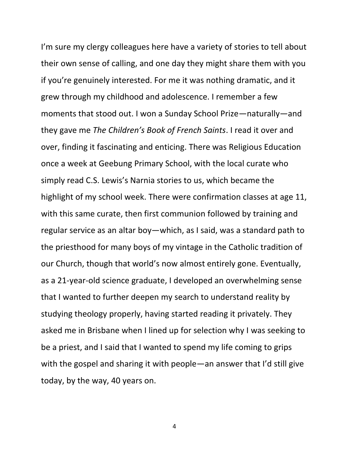I'm sure my clergy colleagues here have a variety of stories to tell about their own sense of calling, and one day they might share them with you if you're genuinely interested. For me it was nothing dramatic, and it grew through my childhood and adolescence. I remember a few moments that stood out. I won a Sunday School Prize—naturally—and they gave me *The Children's Book of French Saints*. I read it over and over, finding it fascinating and enticing. There was Religious Education once a week at Geebung Primary School, with the local curate who simply read C.S. Lewis's Narnia stories to us, which became the highlight of my school week. There were confirmation classes at age 11, with this same curate, then first communion followed by training and regular service as an altar boy—which, as I said, was a standard path to the priesthood for many boys of my vintage in the Catholic tradition of our Church, though that world's now almost entirely gone. Eventually, as a 21-year-old science graduate, I developed an overwhelming sense that I wanted to further deepen my search to understand reality by studying theology properly, having started reading it privately. They asked me in Brisbane when I lined up for selection why I was seeking to be a priest, and I said that I wanted to spend my life coming to grips with the gospel and sharing it with people—an answer that I'd still give today, by the way, 40 years on.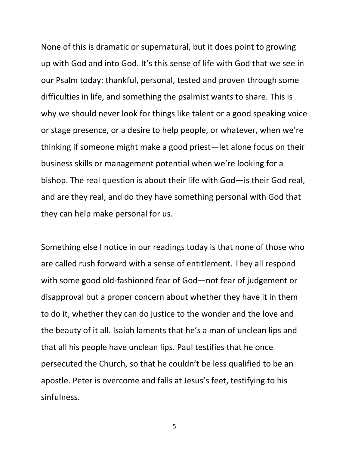None of this is dramatic or supernatural, but it does point to growing up with God and into God. It's this sense of life with God that we see in our Psalm today: thankful, personal, tested and proven through some difficulties in life, and something the psalmist wants to share. This is why we should never look for things like talent or a good speaking voice or stage presence, or a desire to help people, or whatever, when we're thinking if someone might make a good priest—let alone focus on their business skills or management potential when we're looking for a bishop. The real question is about their life with God—is their God real, and are they real, and do they have something personal with God that they can help make personal for us.

Something else I notice in our readings today is that none of those who are called rush forward with a sense of entitlement. They all respond with some good old-fashioned fear of God—not fear of judgement or disapproval but a proper concern about whether they have it in them to do it, whether they can do justice to the wonder and the love and the beauty of it all. Isaiah laments that he's a man of unclean lips and that all his people have unclean lips. Paul testifies that he once persecuted the Church, so that he couldn't be less qualified to be an apostle. Peter is overcome and falls at Jesus's feet, testifying to his sinfulness.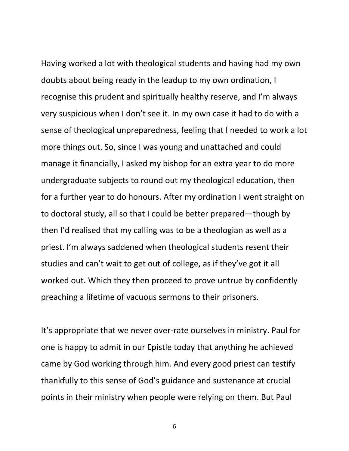Having worked a lot with theological students and having had my own doubts about being ready in the leadup to my own ordination, I recognise this prudent and spiritually healthy reserve, and I'm always very suspicious when I don't see it. In my own case it had to do with a sense of theological unpreparedness, feeling that I needed to work a lot more things out. So, since I was young and unattached and could manage it financially, I asked my bishop for an extra year to do more undergraduate subjects to round out my theological education, then for a further year to do honours. After my ordination I went straight on to doctoral study, all so that I could be better prepared—though by then I'd realised that my calling was to be a theologian as well as a priest. I'm always saddened when theological students resent their studies and can't wait to get out of college, as if they've got it all worked out. Which they then proceed to prove untrue by confidently preaching a lifetime of vacuous sermons to their prisoners.

It's appropriate that we never over-rate ourselves in ministry. Paul for one is happy to admit in our Epistle today that anything he achieved came by God working through him. And every good priest can testify thankfully to this sense of God's guidance and sustenance at crucial points in their ministry when people were relying on them. But Paul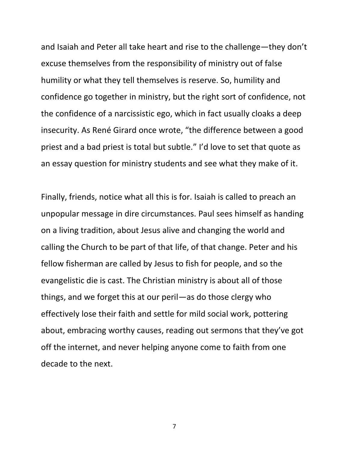and Isaiah and Peter all take heart and rise to the challenge—they don't excuse themselves from the responsibility of ministry out of false humility or what they tell themselves is reserve. So, humility and confidence go together in ministry, but the right sort of confidence, not the confidence of a narcissistic ego, which in fact usually cloaks a deep insecurity. As René Girard once wrote, "the difference between a good priest and a bad priest is total but subtle." I'd love to set that quote as an essay question for ministry students and see what they make of it.

Finally, friends, notice what all this is for. Isaiah is called to preach an unpopular message in dire circumstances. Paul sees himself as handing on a living tradition, about Jesus alive and changing the world and calling the Church to be part of that life, of that change. Peter and his fellow fisherman are called by Jesus to fish for people, and so the evangelistic die is cast. The Christian ministry is about all of those things, and we forget this at our peril—as do those clergy who effectively lose their faith and settle for mild social work, pottering about, embracing worthy causes, reading out sermons that they've got off the internet, and never helping anyone come to faith from one decade to the next.